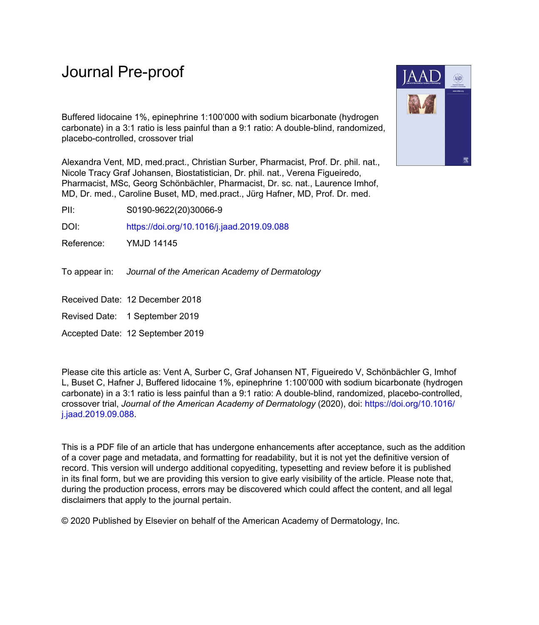# Journal Pre-proof

Buffered lidocaine 1%, epinephrine 1:100'000 with sodium bicarbonate (hydrogen carbonate) in a 3:1 ratio is less painful than a 9:1 ratio: A double-blind, randomized, placebo-controlled, crossover trial

Alexandra Vent, MD, med.pract., Christian Surber, Pharmacist, Prof. Dr. phil. nat., Nicole Tracy Graf Johansen, Biostatistician, Dr. phil. nat., Verena Figueiredo, Pharmacist, MSc, Georg Schönbächler, Pharmacist, Dr. sc. nat., Laurence Imhof, MD, Dr. med., Caroline Buset, MD, med.pract., Jürg Hafner, MD, Prof. Dr. med.

PII: S0190-9622(20)30066-9

DOI: <https://doi.org/10.1016/j.jaad.2019.09.088>

Reference: YMJD 14145

- To appear in: Journal of the American Academy of Dermatology
- Received Date: 12 December 2018
- Revised Date: 1 September 2019
- Accepted Date: 12 September 2019

Please cite this article as: Vent A, Surber C, Graf Johansen NT, Figueiredo V, Schönbächler G, Imhof L, Buset C, Hafner J, Buffered lidocaine 1%, epinephrine 1:100'000 with sodium bicarbonate (hydrogen carbonate) in a 3:1 ratio is less painful than a 9:1 ratio: A double-blind, randomized, placebo-controlled, crossover trial, *Journal of the American Academy of Dermatology* (2020), doi: [https://doi.org/10.1016/](https://doi.org/10.1016/j.jaad.2019.09.088) [j.jaad.2019.09.088](https://doi.org/10.1016/j.jaad.2019.09.088).

This is a PDF file of an article that has undergone enhancements after acceptance, such as the addition of a cover page and metadata, and formatting for readability, but it is not yet the definitive version of record. This version will undergo additional copyediting, typesetting and review before it is published in its final form, but we are providing this version to give early visibility of the article. Please note that, during the production process, errors may be discovered which could affect the content, and all legal disclaimers that apply to the journal pertain.

© 2020 Published by Elsevier on behalf of the American Academy of Dermatology, Inc.

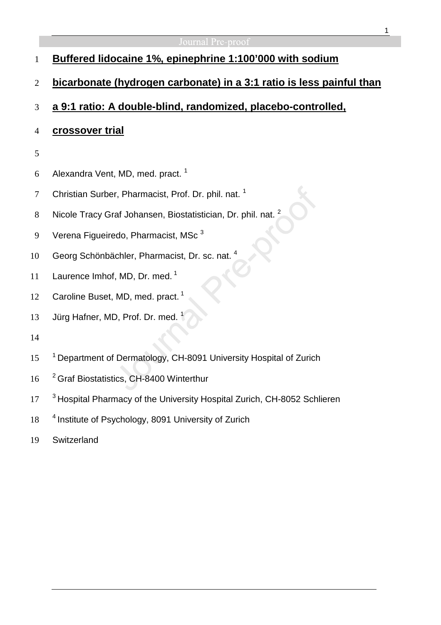|  | Journal Pre-proo |  |  |  |  |
|--|------------------|--|--|--|--|
|  |                  |  |  |  |  |

1

| $\mathbf{1}$   | Buffered lidocaine 1%, epinephrine 1:100'000 with sodium                            |
|----------------|-------------------------------------------------------------------------------------|
| $\overline{2}$ | bicarbonate (hydrogen carbonate) in a 3:1 ratio is less painful than                |
| 3              | a 9:1 ratio: A double-blind, randomized, placebo-controlled,                        |
| 4              | crossover trial                                                                     |
| 5              |                                                                                     |
| 6              | Alexandra Vent, MD, med. pract. <sup>1</sup>                                        |
| 7              | Christian Surber, Pharmacist, Prof. Dr. phil. nat. 1                                |
| 8              | $\overline{z}$<br>Nicole Tracy Graf Johansen, Biostatistician, Dr. phil. nat.       |
| $\mathbf{9}$   | Verena Figueiredo, Pharmacist, MSc <sup>3</sup>                                     |
| 10             | Georg Schönbächler, Pharmacist, Dr. sc. nat. 4                                      |
| 11             | Laurence Imhof, MD, Dr. med. <sup>1</sup>                                           |
| 12             | Caroline Buset, MD, med. pract. <sup>1</sup>                                        |
| 13             | Jürg Hafner, MD, Prof. Dr. med. 1                                                   |
| 14             |                                                                                     |
| 15             | <sup>1</sup> Department of Dermatology, CH-8091 University Hospital of Zurich       |
| 16             | <sup>2</sup> Graf Biostatistics, CH-8400 Winterthur                                 |
| 17             | <sup>3</sup> Hospital Pharmacy of the University Hospital Zurich, CH-8052 Schlieren |
| 18             | <sup>4</sup> Institute of Psychology, 8091 University of Zurich                     |
|                |                                                                                     |

19 Switzerland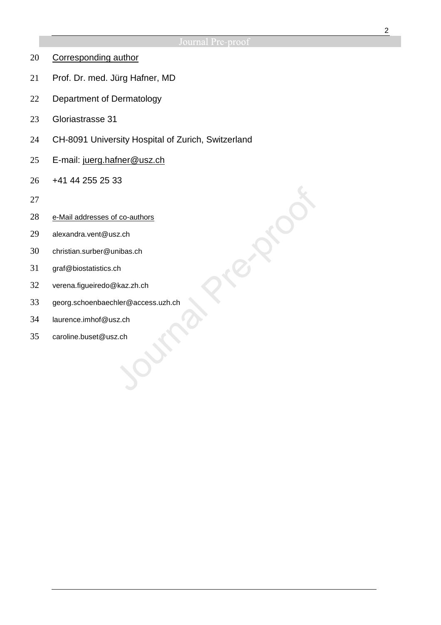I TON BYS

- Corresponding author
- Prof. Dr. med. Jürg Hafner, MD
- Department of Dermatology
- Gloriastrasse 31
- CH-8091 University Hospital of Zurich, Switzerland
- E-mail: juerg.hafner@usz.ch
- +41 44 255 25 33
- 
- e-Mail addresses of co-authors
- alexandra.vent@usz.ch
- christian.surber@unibas.ch
- graf@biostatistics.ch
- verena.figueiredo@kaz.zh.ch
- georg.schoenbaechler@access.uzh.ch
- laurence.imhof@usz.ch
- caroline.buset@usz.ch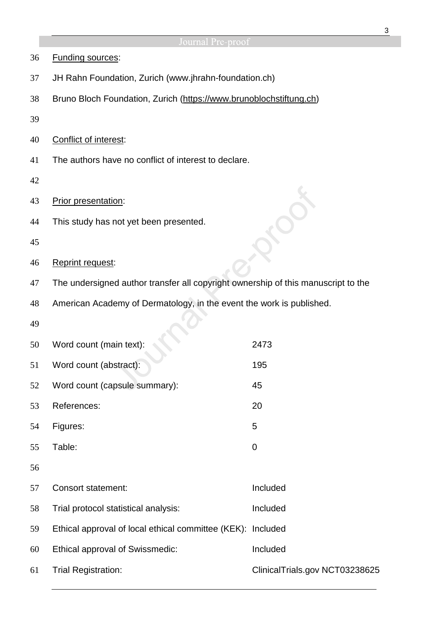|    | Journal Pre-proof                                                                 |                                |  |  |
|----|-----------------------------------------------------------------------------------|--------------------------------|--|--|
| 36 | Funding sources:                                                                  |                                |  |  |
| 37 | JH Rahn Foundation, Zurich (www.jhrahn-foundation.ch)                             |                                |  |  |
| 38 | Bruno Bloch Foundation, Zurich (https://www.brunoblochstiftung.ch)                |                                |  |  |
| 39 |                                                                                   |                                |  |  |
| 40 | Conflict of interest:                                                             |                                |  |  |
| 41 | The authors have no conflict of interest to declare.                              |                                |  |  |
| 42 |                                                                                   |                                |  |  |
| 43 | Prior presentation:                                                               |                                |  |  |
| 44 | This study has not yet been presented.                                            |                                |  |  |
| 45 |                                                                                   |                                |  |  |
| 46 | Reprint request:                                                                  |                                |  |  |
| 47 | The undersigned author transfer all copyright ownership of this manuscript to the |                                |  |  |
| 48 | American Academy of Dermatology, in the event the work is published.              |                                |  |  |
| 49 |                                                                                   |                                |  |  |
| 50 | Word count (main text):                                                           | 2473                           |  |  |
| 51 | Word count (abstract):                                                            | 195                            |  |  |
| 52 | Word count (capsule summary):                                                     | 45                             |  |  |
| 53 | References:                                                                       | 20                             |  |  |
| 54 | Figures:                                                                          | 5                              |  |  |
| 55 | Table:                                                                            | 0                              |  |  |
| 56 |                                                                                   |                                |  |  |
| 57 | Consort statement:                                                                | Included                       |  |  |
| 58 | Trial protocol statistical analysis:                                              | Included                       |  |  |
| 59 | Ethical approval of local ethical committee (KEK): Included                       |                                |  |  |
| 60 | Ethical approval of Swissmedic:                                                   | Included                       |  |  |
| 61 | <b>Trial Registration:</b>                                                        | ClinicalTrials.gov NCT03238625 |  |  |
|    |                                                                                   |                                |  |  |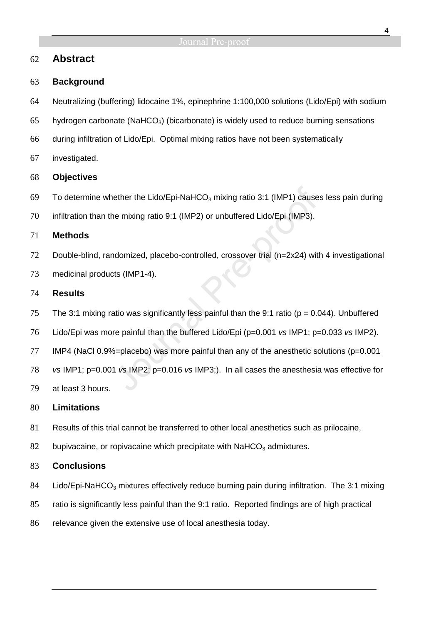# **Abstract**

## **Background**

- Neutralizing (buffering) lidocaine 1%, epinephrine 1:100,000 solutions (Lido/Epi) with sodium
- 65 hydrogen carbonate (NaHCO<sub>3</sub>) (bicarbonate) is widely used to reduce burning sensations
- during infiltration of Lido/Epi. Optimal mixing ratios have not been systematically
- investigated.

# **Objectives**

- 69 To determine whether the Lido/Epi-NaHCO<sub>3</sub> mixing ratio 3:1 (IMP1) causes less pain during
- infiltration than the mixing ratio 9:1 (IMP2) or unbuffered Lido/Epi (IMP3).

## **Methods**

- Double-blind, randomized, placebo-controlled, crossover trial (n=2x24) with 4 investigational
- medicinal products (IMP1-4).

## **Results**

- 75 The 3:1 mixing ratio was significantly less painful than the 9:1 ratio ( $p = 0.044$ ). Unbuffered
- Lido/Epi was more painful than the buffered Lido/Epi (p=0.001 vs IMP1; p=0.033 vs IMP2).
- IMP4 (NaCl 0.9%=placebo) was more painful than any of the anesthetic solutions (p=0.001
- vs IMP1; p=0.001 vs IMP2; p=0.016 vs IMP3;). In all cases the anesthesia was effective for

at least 3 hours.

## **Limitations**

- Results of this trial cannot be transferred to other local anesthetics such as prilocaine,
- 82 bupivacaine, or ropivacaine which precipitate with  $N$ aHCO<sub>3</sub> admixtures.

## **Conclusions**

- 84 Lido/Epi-NaHCO<sub>3</sub> mixtures effectively reduce burning pain during infiltration. The 3:1 mixing
- ratio is significantly less painful than the 9:1 ratio. Reported findings are of high practical
- relevance given the extensive use of local anesthesia today.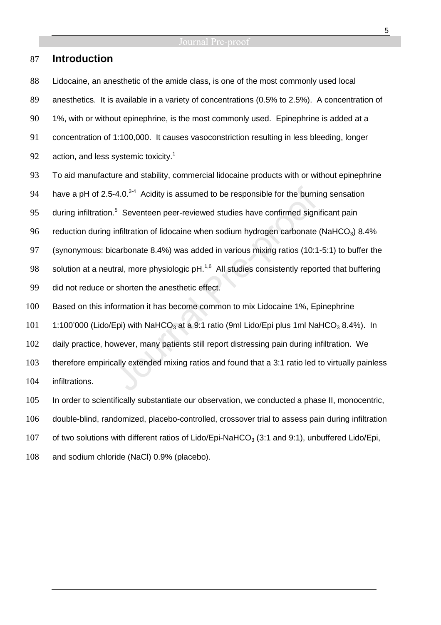# **Introduction**

Lidocaine, an anesthetic of the amide class, is one of the most commonly used local anesthetics. It is available in a variety of concentrations (0.5% to 2.5%). A concentration of 1%, with or without epinephrine, is the most commonly used. Epinephrine is added at a concentration of 1:100,000. It causes vasoconstriction resulting in less bleeding, longer action, and less systemic toxicity.<sup>1</sup> To aid manufacture and stability, commercial lidocaine products with or without epinephrine 94 have a pH of  $2.5$ -4.0.<sup>2-4</sup> Acidity is assumed to be responsible for the burning sensation 95 during infiltration.<sup>5</sup> Seventeen peer-reviewed studies have confirmed significant pain 96 reduction during infiltration of lidocaine when sodium hydrogen carbonate (NaHCO<sub>3</sub>) 8.4% (synonymous: bicarbonate 8.4%) was added in various mixing ratios (10:1-5:1) to buffer the 98 solution at a neutral, more physiologic  $pH<sup>1,6</sup>$  All studies consistently reported that buffering did not reduce or shorten the anesthetic effect. Based on this information it has become common to mix Lidocaine 1%, Epinephrine 101 1:100'000 (Lido/Epi) with NaHCO<sub>3</sub> at a 9:1 ratio (9ml Lido/Epi plus 1ml NaHCO<sub>3</sub> 8.4%). In daily practice, however, many patients still report distressing pain during infiltration. We therefore empirically extended mixing ratios and found that a 3:1 ratio led to virtually painless infiltrations. 105 In order to scientifically substantiate our observation, we conducted a phase II, monocentric, double-blind, randomized, placebo-controlled, crossover trial to assess pain during infiltration

- 107 of two solutions with different ratios of Lido/Epi-NaHCO<sub>3</sub> (3:1 and 9:1), unbuffered Lido/Epi,
- and sodium chloride (NaCl) 0.9% (placebo).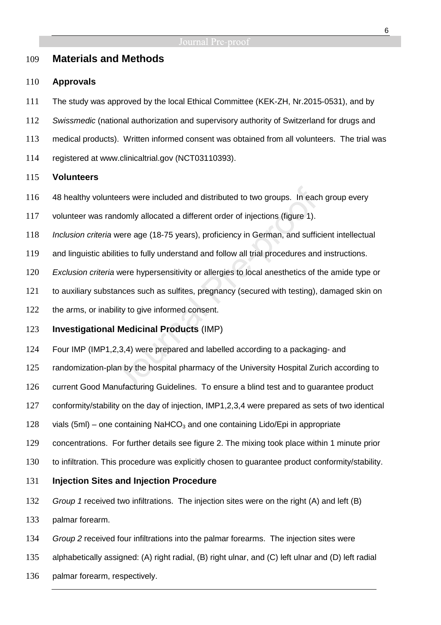# **Materials and Methods**

## **Approvals**

- The study was approved by the local Ethical Committee (KEK-ZH, Nr.2015-0531), and by
- 112 Swissmedic (national authorization and supervisory authority of Switzerland for drugs and
- medical products). Written informed consent was obtained from all volunteers. The trial was
- registered at www.clinicaltrial.gov (NCT03110393).

### **Volunteers**

- 48 healthy volunteers were included and distributed to two groups. In each group every
- volunteer was randomly allocated a different order of injections (figure 1).
- Inclusion criteria were age (18-75 years), proficiency in German, and sufficient intellectual
- and linguistic abilities to fully understand and follow all trial procedures and instructions.
- 120 Exclusion criteria were hypersensitivity or allergies to local anesthetics of the amide type or
- to auxiliary substances such as sulfites, pregnancy (secured with testing), damaged skin on
- the arms, or inability to give informed consent.
- **Investigational Medicinal Products** (IMP)
- Four IMP (IMP1,2,3,4) were prepared and labelled according to a packaging- and
- 125 randomization-plan by the hospital pharmacy of the University Hospital Zurich according to
- current Good Manufacturing Guidelines. To ensure a blind test and to guarantee product
- conformity/stability on the day of injection, IMP1,2,3,4 were prepared as sets of two identical
- 128 vials (5ml) one containing NaHCO<sub>3</sub> and one containing Lido/Epi in appropriate
- concentrations. For further details see figure 2. The mixing took place within 1 minute prior
- to infiltration. This procedure was explicitly chosen to guarantee product conformity/stability.

## **Injection Sites and Injection Procedure**

- 132 Group 1 received two infiltrations. The injection sites were on the right (A) and left (B)
- palmar forearm.
- 134 Group 2 received four infiltrations into the palmar forearms. The injection sites were
- alphabetically assigned: (A) right radial, (B) right ulnar, and (C) left ulnar and (D) left radial
- palmar forearm, respectively.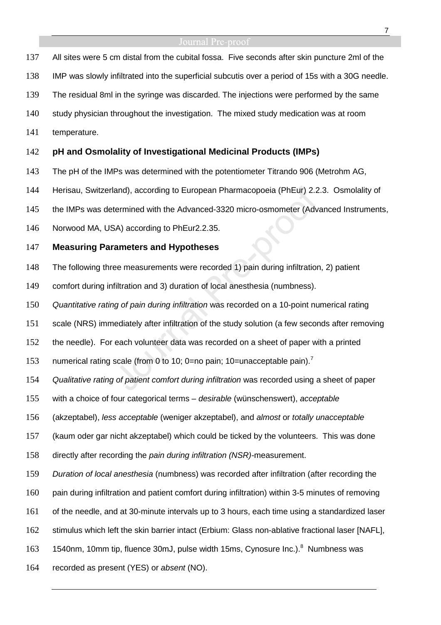- All sites were 5 cm distal from the cubital fossa. Five seconds after skin puncture 2ml of the
- IMP was slowly infiltrated into the superficial subcutis over a period of 15s with a 30G needle.
- The residual 8ml in the syringe was discarded. The injections were performed by the same
- 140 study physician throughout the investigation. The mixed study medication was at room
- temperature.

## **pH and Osmolality of Investigational Medicinal Products (IMPs)**

- The pH of the IMPs was determined with the potentiometer Titrando 906 (Metrohm AG,
- Herisau, Switzerland), according to European Pharmacopoeia (PhEur) 2.2.3. Osmolality of
- the IMPs was determined with the Advanced-3320 micro-osmometer (Advanced Instruments,
- Norwood MA, USA) according to PhEur2.2.35.

## **Measuring Parameters and Hypotheses**

- The following three measurements were recorded 1) pain during infiltration, 2) patient
- comfort during infiltration and 3) duration of local anesthesia (numbness).
- Quantitative rating of pain during infiltration was recorded on a 10-point numerical rating
- scale (NRS) immediately after infiltration of the study solution (a few seconds after removing
- the needle). For each volunteer data was recorded on a sheet of paper with a printed
- numerical rating scale (from 0 to 10; 0=no pain; 10=unacceptable pain).<sup>7</sup>
- Qualitative rating of patient comfort during infiltration was recorded using a sheet of paper
- with a choice of four categorical terms desirable (wünschenswert), acceptable
- (akzeptabel), less acceptable (weniger akzeptabel), and almost or totally unacceptable
- (kaum oder gar nicht akzeptabel) which could be ticked by the volunteers. This was done
- 158 directly after recording the pain during infiltration (NSR)-measurement.
- Duration of local anesthesia (numbness) was recorded after infiltration (after recording the
- pain during infiltration and patient comfort during infiltration) within 3-5 minutes of removing
- of the needle, and at 30-minute intervals up to 3 hours, each time using a standardized laser
- stimulus which left the skin barrier intact (Erbium: Glass non-ablative fractional laser [NAFL],
- 163 1540nm, 10mm tip, fluence 30mJ, pulse width 15ms, Cynosure Inc.).<sup>8</sup> Numbness was
- 164 recorded as present (YES) or absent (NO).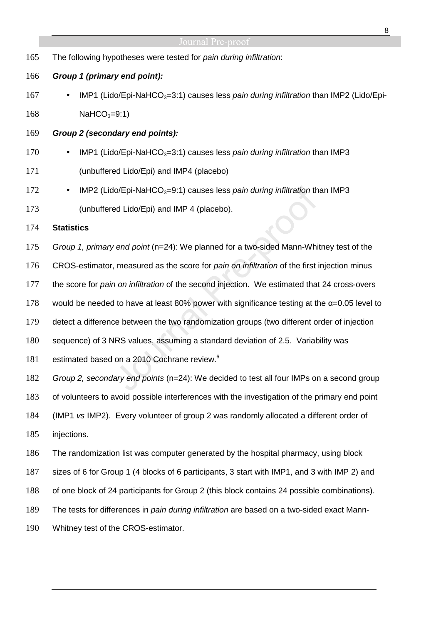| Journal Pre-proo |  |  |  |  |
|------------------|--|--|--|--|
|                  |  |  |  |  |

| 165 | The following hypotheses were tested for pain during infiltration:                                  |
|-----|-----------------------------------------------------------------------------------------------------|
| 166 | Group 1 (primary end point):                                                                        |
| 167 | IMP1 (Lido/Epi-NaHCO <sub>3</sub> =3:1) causes less pain during infiltration than IMP2 (Lido/Epi-   |
| 168 | NaHC $O3=9:1$ )                                                                                     |
| 169 | Group 2 (secondary end points):                                                                     |
| 170 | IMP1 (Lido/Epi-NaHCO <sub>3</sub> =3:1) causes less pain during infiltration than IMP3              |
| 171 | (unbuffered Lido/Epi) and IMP4 (placebo)                                                            |
| 172 | IMP2 (Lido/Epi-NaHCO <sub>3</sub> =9:1) causes less pain during infiltration than IMP3              |
| 173 | (unbuffered Lido/Epi) and IMP 4 (placebo).                                                          |
| 174 | <b>Statistics</b>                                                                                   |
| 175 | Group 1, primary end point (n=24): We planned for a two-sided Mann-Whitney test of the              |
| 176 | CROS-estimator, measured as the score for pain on infiltration of the first injection minus         |
| 177 | the score for pain on infiltration of the second injection. We estimated that 24 cross-overs        |
| 178 | would be needed to have at least 80% power with significance testing at the $\alpha$ =0.05 level to |
| 179 | detect a difference between the two randomization groups (two different order of injection          |
| 180 | sequence) of 3 NRS values, assuming a standard deviation of 2.5. Variability was                    |
| 181 | estimated based on a 2010 Cochrane review. <sup>6</sup>                                             |
| 182 | Group 2, secondary end points (n=24): We decided to test all four IMPs on a second group            |
| 183 | of volunteers to avoid possible interferences with the investigation of the primary end point       |
| 184 | (IMP1 vs IMP2). Every volunteer of group 2 was randomly allocated a different order of              |
| 185 | injections.                                                                                         |
| 186 | The randomization list was computer generated by the hospital pharmacy, using block                 |
| 187 | sizes of 6 for Group 1 (4 blocks of 6 participants, 3 start with IMP1, and 3 with IMP 2) and        |
| 188 | of one block of 24 participants for Group 2 (this block contains 24 possible combinations).         |
| 189 | The tests for differences in pain during infiltration are based on a two-sided exact Mann-          |
| 190 | Whitney test of the CROS-estimator.                                                                 |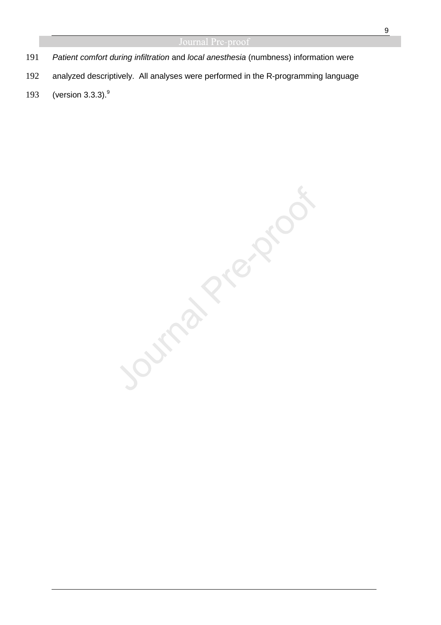- Patient comfort during infiltration and local anesthesia (numbness) information were
- analyzed descriptively. All analyses were performed in the R-programming language
- (version  $3.3.3$ ). $9$

Journal Prezence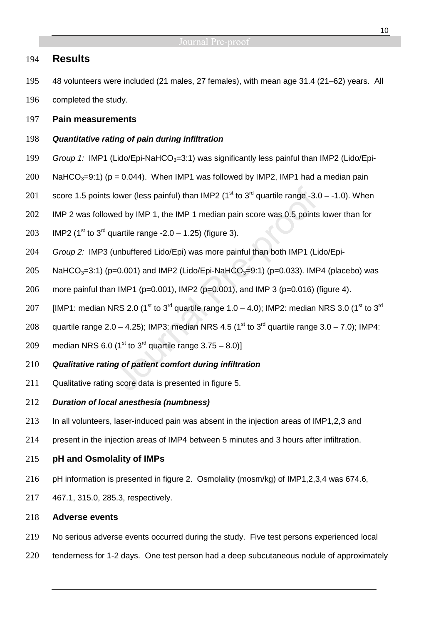# **Results**

- 48 volunteers were included (21 males, 27 females), with mean age 31.4 (21–62) years. All
- completed the study.

## **Pain measurements**

### **Quantitative rating of pain during infiltration**

- 199 Group 1: IMP1 (Lido/Epi-NaHCO<sub>3</sub>=3:1) was significantly less painful than IMP2 (Lido/Epi-
- 200 NaHCO<sub>3</sub>=9:1) (p = 0.044). When IMP1 was followed by IMP2, IMP1 had a median pain
- 201 score 1.5 points lower (less painful) than IMP2 (1<sup>st</sup> to 3<sup>rd</sup> quartile range -3.0 -1.0). When
- IMP 2 was followed by IMP 1, the IMP 1 median pain score was 0.5 points lower than for
- 203 IMP2 (1<sup>st</sup> to 3<sup>rd</sup> quartile range -2.0 1.25) (figure 3).
- Group 2: IMP3 (unbuffered Lido/Epi) was more painful than both IMP1 (Lido/Epi-
- 205 NaHCO<sub>3</sub>=3:1) (p=0.001) and IMP2 (Lido/Epi-NaHCO<sub>3</sub>=9:1) (p=0.033). IMP4 (placebo) was
- 206 more painful than IMP1 ( $p=0.001$ ), IMP2 ( $p=0.001$ ), and IMP 3 ( $p=0.016$ ) (figure 4).
- 207 [IMP1: median NRS 2.0 (1<sup>st</sup> to 3<sup>rd</sup> quartile range 1.0 4.0); IMP2: median NRS 3.0 (1<sup>st</sup> to 3<sup>rd</sup>)
- 208 quartile range  $2.0 4.25$ ; IMP3: median NRS  $4.5$  (1<sup>st</sup> to 3<sup>rd</sup> quartile range  $3.0 7.0$ ); IMP4:
- 209 median NRS 6.0 (1<sup>st</sup> to 3<sup>rd</sup> quartile range 3.75 8.0)]
- **Qualitative rating of patient comfort during infiltration**
- Qualitative rating score data is presented in figure 5.
- **Duration of local anesthesia (numbness)**
- In all volunteers, laser-induced pain was absent in the injection areas of IMP1,2,3 and
- present in the injection areas of IMP4 between 5 minutes and 3 hours after infiltration.

## **pH and Osmolality of IMPs**

- pH information is presented in figure 2. Osmolality (mosm/kg) of IMP1,2,3,4 was 674.6,
- 467.1, 315.0, 285.3, respectively.

## **Adverse events**

- No serious adverse events occurred during the study. Five test persons experienced local
- tenderness for 1-2 days. One test person had a deep subcutaneous nodule of approximately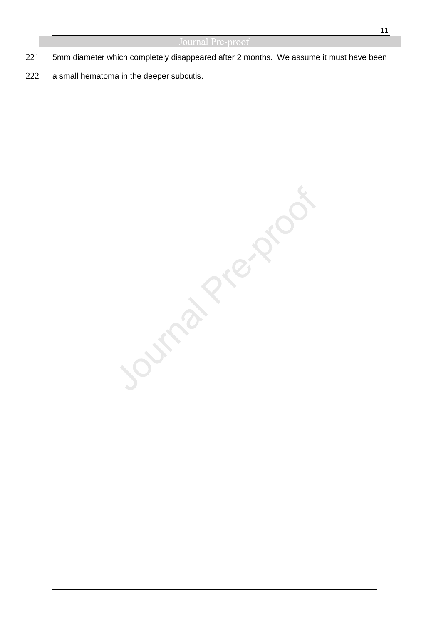- 221 5mm diameter which completely disappeared after 2 months. We assume it must have been
- 222 a small hematoma in the deeper subcutis.

Journal Prezence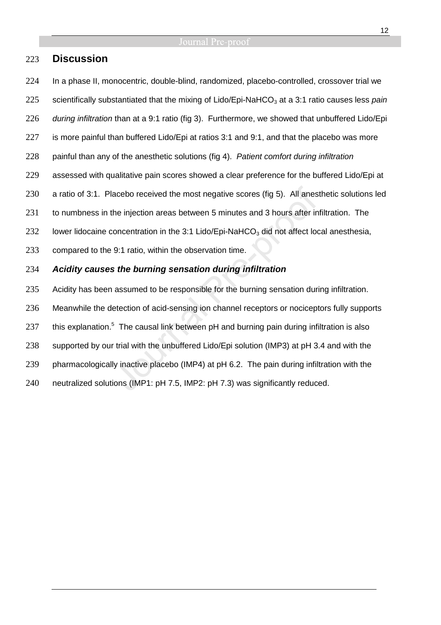# 223 **Discussion**

- 224 In a phase II, monocentric, double-blind, randomized, placebo-controlled, crossover trial we
- 225 scientifically substantiated that the mixing of Lido/Epi-NaHCO<sub>3</sub> at a 3:1 ratio causes less pain
- 226 during infiltration than at a 9:1 ratio (fig 3). Furthermore, we showed that unbuffered Lido/Epi
- 227 is more painful than buffered Lido/Epi at ratios 3:1 and 9:1, and that the placebo was more
- 228 painful than any of the anesthetic solutions (fig 4). Patient comfort during infiltration
- 229 assessed with qualitative pain scores showed a clear preference for the buffered Lido/Epi at
- 230 a ratio of 3:1. Placebo received the most negative scores (fig 5). All anesthetic solutions led
- 231 to numbness in the injection areas between 5 minutes and 3 hours after infiltration. The
- 232 lower lidocaine concentration in the 3:1 Lido/Epi-NaHCO<sub>3</sub> did not affect local anesthesia,
- 233 compared to the 9:1 ratio, within the observation time.

## 234 **Acidity causes the burning sensation during infiltration**

- 235 Acidity has been assumed to be responsible for the burning sensation during infiltration.
- 236 Meanwhile the detection of acid-sensing ion channel receptors or nociceptors fully supports
- 237 this explanation.<sup>5</sup> The causal link between pH and burning pain during infiltration is also
- 238 supported by our trial with the unbuffered Lido/Epi solution (IMP3) at pH 3.4 and with the
- 239 pharmacologically inactive placebo (IMP4) at pH 6.2. The pain during infiltration with the
- 240 neutralized solutions (IMP1: pH 7.5, IMP2: pH 7.3) was significantly reduced.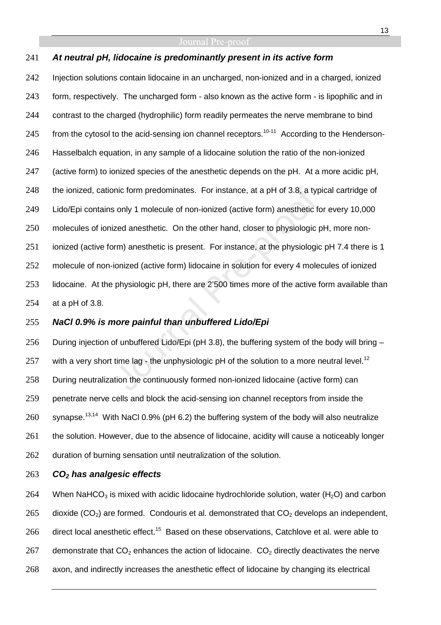## **At neutral pH, lidocaine is predominantly present in its active form**

Injection solutions contain lidocaine in an uncharged, non-ionized and in a charged, ionized 243 form, respectively. The uncharged form - also known as the active form - is lipophilic and in 244 contrast to the charged (hydrophilic) form readily permeates the nerve membrane to bind 245 from the cytosol to the acid-sensing ion channel receptors.<sup>10-11</sup> According to the Henderson-Hasselbalch equation, in any sample of a lidocaine solution the ratio of the non-ionized (active form) to ionized species of the anesthetic depends on the pH. At a more acidic pH, 248 the ionized, cationic form predominates. For instance, at a pH of 3.8, a typical cartridge of Lido/Epi contains only 1 molecule of non-ionized (active form) anesthetic for every 10,000 molecules of ionized anesthetic. On the other hand, closer to physiologic pH, more non-ionized (active form) anesthetic is present. For instance, at the physiologic pH 7.4 there is 1 molecule of non-ionized (active form) lidocaine in solution for every 4 molecules of ionized lidocaine. At the physiologic pH, there are 2'500 times more of the active form available than at a pH of 3.8.

## **NaCl 0.9% is more painful than unbuffered Lido/Epi**

During injection of unbuffered Lido/Epi (pH 3.8), the buffering system of the body will bring – 257 with a very short time lag - the unphysiologic pH of the solution to a more neutral level.<sup>12</sup> During neutralization the continuously formed non-ionized lidocaine (active form) can penetrate nerve cells and block the acid-sensing ion channel receptors from inside the 260 synapse.<sup>13,14</sup> With NaCl 0.9% (pH 6.2) the buffering system of the body will also neutralize 261 the solution. However, due to the absence of lidocaine, acidity will cause a noticeably longer duration of burning sensation until neutralization of the solution.

**CO2 has analgesic effects** 

264 When NaHCO<sub>3</sub> is mixed with acidic lidocaine hydrochloride solution, water (H<sub>2</sub>O) and carbon 265 dioxide (CO<sub>2</sub>) are formed. Condouris et al. demonstrated that  $CO<sub>2</sub>$  develops an independent, direct local anesthetic effect.<sup>15</sup> Based on these observations, Catchlove et al. were able to 267 demonstrate that  $CO<sub>2</sub>$  enhances the action of lidocaine.  $CO<sub>2</sub>$  directly deactivates the nerve axon, and indirectly increases the anesthetic effect of lidocaine by changing its electrical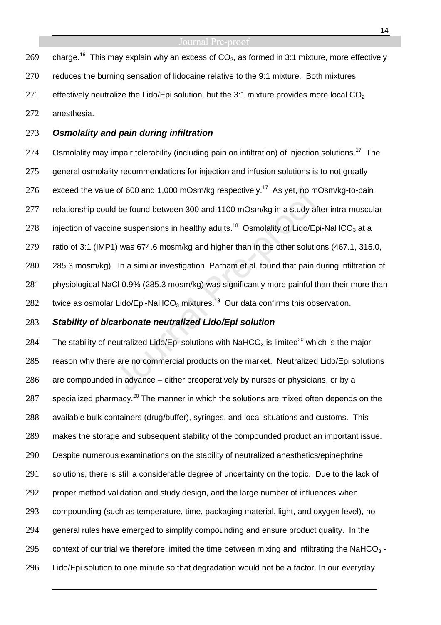269 charge.<sup>16</sup> This may explain why an excess of  $CO<sub>2</sub>$ , as formed in 3:1 mixture, more effectively reduces the burning sensation of lidocaine relative to the 9:1 mixture. Both mixtures 271 effectively neutralize the Lido/Epi solution, but the 3:1 mixture provides more local  $CO<sub>2</sub>$ anesthesia.

### **Osmolality and pain during infiltration**

 Osmolality may impair tolerability (including pain on infiltration) of injection solutions.<sup>17</sup> The 275 general osmolality recommendations for injection and infusion solutions is to not greatly 276 exceed the value of 600 and 1,000 mOsm/kg respectively.<sup>17</sup> As yet, no mOsm/kg-to-pain relationship could be found between 300 and 1100 mOsm/kg in a study after intra-muscular 278 injection of vaccine suspensions in healthy adults.<sup>18</sup> Osmolality of Lido/Epi-NaHCO<sub>3</sub> at a ratio of 3:1 (IMP1) was 674.6 mosm/kg and higher than in the other solutions (467.1, 315.0, 285.3 mosm/kg). In a similar investigation, Parham et al. found that pain during infiltration of physiological NaCl 0.9% (285.3 mosm/kg) was significantly more painful than their more than 282 twice as osmolar Lido/Epi-NaHCO<sub>3</sub> mixtures.<sup>19</sup> Our data confirms this observation.

## **Stability of bicarbonate neutralized Lido/Epi solution**

284 The stability of neutralized Lido/Epi solutions with NaHCO<sub>3</sub> is limited<sup>20</sup> which is the major reason why there are no commercial products on the market. Neutralized Lido/Epi solutions are compounded in advance – either preoperatively by nurses or physicians, or by a 287 specialized pharmacy.<sup>20</sup> The manner in which the solutions are mixed often depends on the available bulk containers (drug/buffer), syringes, and local situations and customs. This makes the storage and subsequent stability of the compounded product an important issue. Despite numerous examinations on the stability of neutralized anesthetics/epinephrine 291 solutions, there is still a considerable degree of uncertainty on the topic. Due to the lack of proper method validation and study design, and the large number of influences when compounding (such as temperature, time, packaging material, light, and oxygen level), no general rules have emerged to simplify compounding and ensure product quality. In the 295 context of our trial we therefore limited the time between mixing and infiltrating the NaHCO<sub>3</sub> -Lido/Epi solution to one minute so that degradation would not be a factor. In our everyday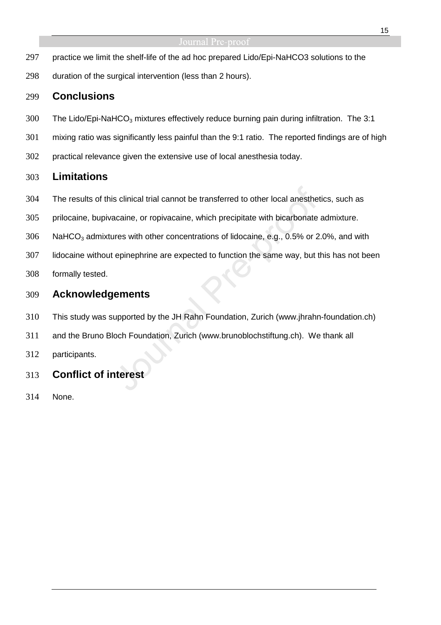- practice we limit the shelf-life of the ad hoc prepared Lido/Epi-NaHCO3 solutions to the
- duration of the surgical intervention (less than 2 hours).

# **Conclusions**

- 300 The Lido/Epi-NaHCO<sub>3</sub> mixtures effectively reduce burning pain during infiltration. The 3:1
- mixing ratio was significantly less painful than the 9:1 ratio. The reported findings are of high
- practical relevance given the extensive use of local anesthesia today.

# **Limitations**

- The results of this clinical trial cannot be transferred to other local anesthetics, such as
- prilocaine, bupivacaine, or ropivacaine, which precipitate with bicarbonate admixture.
- NaHCO<sub>3</sub> admixtures with other concentrations of lidocaine, e.g., 0.5% or 2.0%, and with
- lidocaine without epinephrine are expected to function the same way, but this has not been
- formally tested.

# **Acknowledgements**

- This study was supported by the JH Rahn Foundation, Zurich (www.jhrahn-foundation.ch)
- and the Bruno Bloch Foundation, Zurich (www.brunoblochstiftung.ch). We thank all
- participants.
- **Conflict of interes**
- None.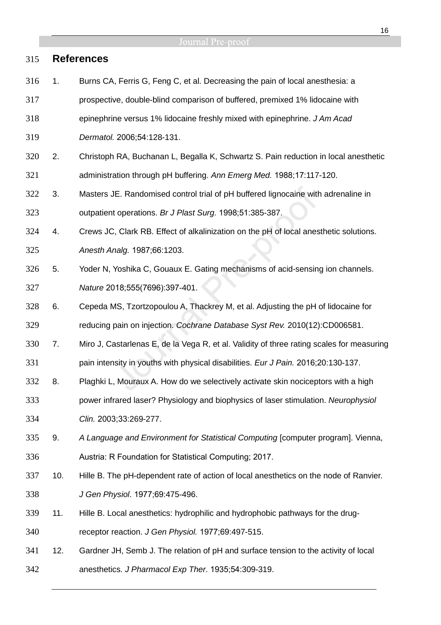## **References**

- 1. Burns CA, Ferris G, Feng C, et al. Decreasing the pain of local anesthesia: a
- prospective, double-blind comparison of buffered, premixed 1% lidocaine with
- epinephrine versus 1% lidocaine freshly mixed with epinephrine. J Am Acad
- Dermatol. 2006;54:128-131.
- 2. Christoph RA, Buchanan L, Begalla K, Schwartz S. Pain reduction in local anesthetic administration through pH buffering. Ann Emerg Med. 1988;17:117-120.
- 3. Masters JE. Randomised control trial of pH buffered lignocaine with adrenaline in outpatient operations. Br J Plast Surg. 1998;51:385-387.
- 4. Crews JC, Clark RB. Effect of alkalinization on the pH of local anesthetic solutions. Anesth Analg. 1987;66:1203.
- 5. Yoder N, Yoshika C, Gouaux E. Gating mechanisms of acid-sensing ion channels. Nature 2018;555(7696):397-401.
- 6. Cepeda MS, Tzortzopoulou A, Thackrey M, et al. Adjusting the pH of lidocaine for reducing pain on injection. Cochrane Database Syst Rev. 2010(12):CD006581.
- 7. Miro J, Castarlenas E, de la Vega R, et al. Validity of three rating scales for measuring pain intensity in youths with physical disabilities. Eur J Pain. 2016;20:130-137.
- 8. Plaghki L, Mouraux A. How do we selectively activate skin nociceptors with a high
- power infrared laser? Physiology and biophysics of laser stimulation. Neurophysiol Clin. 2003;33:269-277.
- 9. A Language and Environment for Statistical Computing [computer program]. Vienna,
- Austria: R Foundation for Statistical Computing; 2017.
- 337 10. Hille B. The pH-dependent rate of action of local anesthetics on the node of Ranvier. J Gen Physiol. 1977;69:475-496.
- 11. Hille B. Local anesthetics: hydrophilic and hydrophobic pathways for the drug-receptor reaction. J Gen Physiol. 1977;69:497-515.
- 12. Gardner JH, Semb J. The relation of pH and surface tension to the activity of local anesthetics. J Pharmacol Exp Ther. 1935;54:309-319.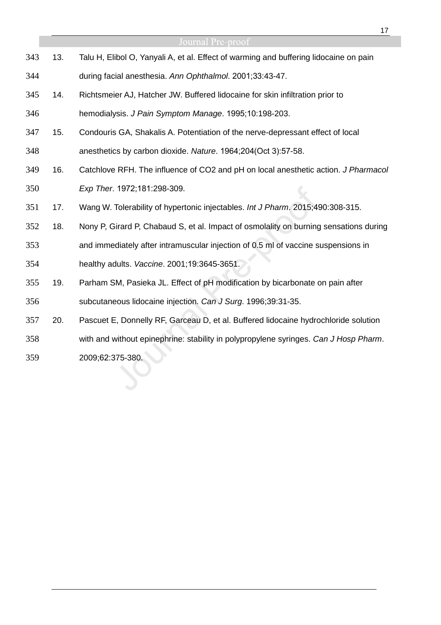|     |     | Journal Pre-proof                                                                     |
|-----|-----|---------------------------------------------------------------------------------------|
| 343 | 13. | Talu H, Elibol O, Yanyali A, et al. Effect of warming and buffering lidocaine on pain |
| 344 |     | during facial anesthesia. Ann Ophthalmol. 2001;33:43-47.                              |
| 345 | 14. | Richtsmeier AJ, Hatcher JW. Buffered lidocaine for skin infiltration prior to         |
| 346 |     | hemodialysis. J Pain Symptom Manage. 1995;10:198-203.                                 |
| 347 | 15. | Condouris GA, Shakalis A. Potentiation of the nerve-depressant effect of local        |
| 348 |     | anesthetics by carbon dioxide. Nature. 1964;204(Oct 3):57-58.                         |
| 349 | 16. | Catchlove RFH. The influence of CO2 and pH on local anesthetic action. J Pharmacol    |
| 350 |     | Exp Ther. 1972;181:298-309.                                                           |
| 351 | 17. | Wang W. Tolerability of hypertonic injectables. Int J Pharm. 2015;490:308-315.        |
| 352 | 18. | Nony P, Girard P, Chabaud S, et al. Impact of osmolality on burning sensations during |
| 353 |     | and immediately after intramuscular injection of 0.5 ml of vaccine suspensions in     |
| 354 |     | healthy adults. Vaccine. 2001;19:3645-3651.                                           |
| 355 | 19. | Parham SM, Pasieka JL. Effect of pH modification by bicarbonate on pain after         |
| 356 |     | subcutaneous lidocaine injection. Can J Surg. 1996;39:31-35.                          |
| 357 | 20. | Pascuet E, Donnelly RF, Garceau D, et al. Buffered lidocaine hydrochloride solution   |
| 358 |     | with and without epinephrine: stability in polypropylene syringes. Can J Hosp Pharm.  |
| 359 |     | 2009;62:375-380.                                                                      |
|     |     |                                                                                       |

 $\mathbf{I}$   $\mathbf{I}$   $\mathbf{I}$   $\mathbf{I}$   $\mathbf{I}$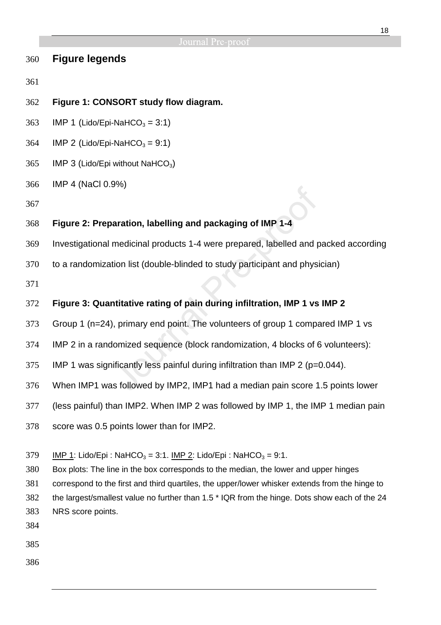| 360                                           | <b>Figure legends</b>                                                                                                                                                                                                                                                                                                                                                                                   |
|-----------------------------------------------|---------------------------------------------------------------------------------------------------------------------------------------------------------------------------------------------------------------------------------------------------------------------------------------------------------------------------------------------------------------------------------------------------------|
| 361                                           |                                                                                                                                                                                                                                                                                                                                                                                                         |
| 362                                           | Figure 1: CONSORT study flow diagram.                                                                                                                                                                                                                                                                                                                                                                   |
| 363                                           | IMP 1 (Lido/Epi-NaHCO <sub>3</sub> = 3:1)                                                                                                                                                                                                                                                                                                                                                               |
| 364                                           | IMP 2 (Lido/Epi-NaHCO <sub>3</sub> = 9:1)                                                                                                                                                                                                                                                                                                                                                               |
| 365                                           | IMP 3 (Lido/Epi without NaHCO <sub>3</sub> )                                                                                                                                                                                                                                                                                                                                                            |
| 366                                           | IMP 4 (NaCl 0.9%)                                                                                                                                                                                                                                                                                                                                                                                       |
| 367                                           |                                                                                                                                                                                                                                                                                                                                                                                                         |
| 368                                           | Figure 2: Preparation, labelling and packaging of IMP 1-4                                                                                                                                                                                                                                                                                                                                               |
| 369                                           | Investigational medicinal products 1-4 were prepared, labelled and packed according                                                                                                                                                                                                                                                                                                                     |
| 370                                           | to a randomization list (double-blinded to study participant and physician)                                                                                                                                                                                                                                                                                                                             |
| 371                                           |                                                                                                                                                                                                                                                                                                                                                                                                         |
| 372                                           | Figure 3: Quantitative rating of pain during infiltration, IMP 1 vs IMP 2                                                                                                                                                                                                                                                                                                                               |
| 373                                           | Group 1 (n=24), primary end point. The volunteers of group 1 compared IMP 1 vs                                                                                                                                                                                                                                                                                                                          |
| 374                                           | IMP 2 in a randomized sequence (block randomization, 4 blocks of 6 volunteers):                                                                                                                                                                                                                                                                                                                         |
| 375                                           | IMP 1 was significantly less painful during infiltration than IMP 2 ( $p=0.044$ ).                                                                                                                                                                                                                                                                                                                      |
| 376                                           | When IMP1 was followed by IMP2, IMP1 had a median pain score 1.5 points lower                                                                                                                                                                                                                                                                                                                           |
| 377                                           | (less painful) than IMP2. When IMP 2 was followed by IMP 1, the IMP 1 median pain                                                                                                                                                                                                                                                                                                                       |
| 378                                           | score was 0.5 points lower than for IMP2.                                                                                                                                                                                                                                                                                                                                                               |
| 379<br>380<br>381<br>382<br>383<br>384<br>385 | IMP 1: Lido/Epi : NaHCO <sub>3</sub> = 3:1. IMP 2: Lido/Epi : NaHCO <sub>3</sub> = 9:1.<br>Box plots: The line in the box corresponds to the median, the lower and upper hinges<br>correspond to the first and third quartiles, the upper/lower whisker extends from the hinge to<br>the largest/smallest value no further than 1.5 * IQR from the hinge. Dots show each of the 24<br>NRS score points. |
| 386                                           |                                                                                                                                                                                                                                                                                                                                                                                                         |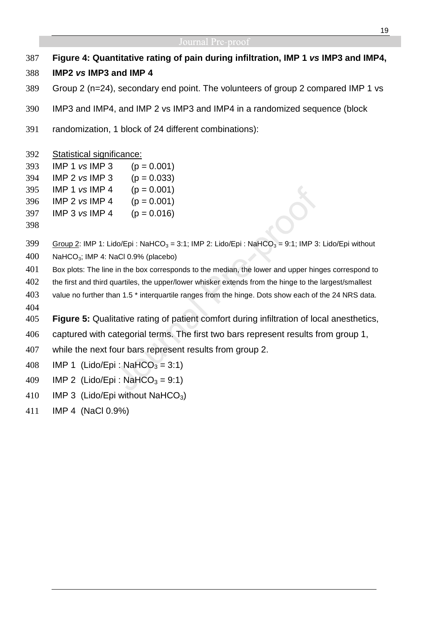**Figure 4: Quantitative rating of pain during infiltration, IMP 1 vs IMP3 and IMP4, IMP2 vs IMP3 and IMP 4**  Group 2 (n=24), secondary end point. The volunteers of group 2 compared IMP 1 vs IMP3 and IMP4, and IMP 2 vs IMP3 and IMP4 in a randomized sequence (block randomization, 1 block of 24 different combinations): Statistical significance: 393 IMP 1 vs IMP 3  $(p = 0.001)$ IMP 2 vs IMP 3 (p = 0.033) IMP 1 vs IMP 4 (p = 0.001) 396 IMP 2 vs IMP 4  $(p = 0.001)$ 397 IMP 3 vs IMP 4  $(p = 0.016)$  399 Group 2: IMP 1: Lido/Epi : NaHCO<sub>3</sub> = 3:1; IMP 2: Lido/Epi : NaHCO<sub>3</sub> = 9:1; IMP 3: Lido/Epi without NaHCO3; IMP 4: NaCl 0.9% (placebo) Box plots: The line in the box corresponds to the median, the lower and upper hinges correspond to 402 the first and third quartiles, the upper/lower whisker extends from the hinge to the largest/smallest value no further than 1.5 \* interquartile ranges from the hinge. Dots show each of the 24 NRS data. **Figure 5:** Qualitative rating of patient comfort during infiltration of local anesthetics, captured with categorial terms. The first two bars represent results from group 1, while the next four bars represent results from group 2. 408 IMP 1 (Lido/Epi : NaHCO<sub>3</sub> = 3:1) 409 IMP 2 (Lido/Epi : NaHCO<sub>3</sub> = 9:1) 410 IMP 3 (Lido/Epi without NaHCO<sub>3</sub>) IMP 4 (NaCl 0.9%)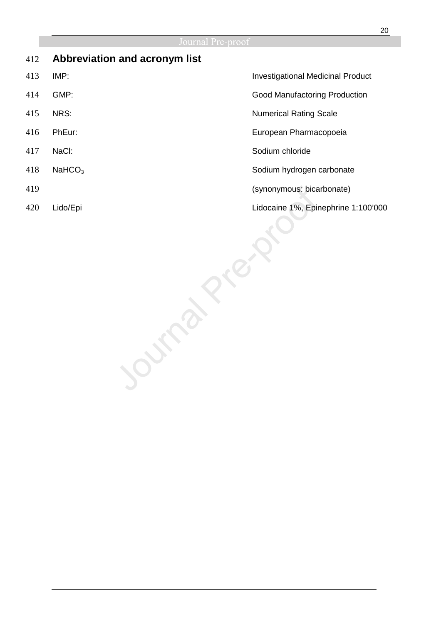# **Abbreviation and acronym list**

- 
- 
- 
- 
- 
- 
- 
- 

IMP: Investigational Medicinal Product

- GMP: Good Manufactoring Production
- NRS: Numerical Rating Scale
- PhEur: European Pharmacopoeia
- NaCl: Sodium chloride
- 418 NaHCO<sub>3</sub> NaHCO<sub>3</sub> NaHCO<sub>3</sub> NaHCO<sub>3</sub> NaHCO<sub>3</sub> NaHCO<sub>3</sub> NaHCO<sub>3</sub> NaHCO<sub>3</sub> NaHCO<sub>3</sub> NaMB
- (synonymous: bicarbonate)
	-

Lido/Epi Lido/Epi Lido<br>
Lido<br>
Lido<br>
Lido<br>
Lido<br>
Lido<br>
Lido<br>
Lido<br>
Lido<br>
Lido<br>
Lido<br>
Lido<br>
Lido<br>
Lido<br>
Lido<br>
Lido<br>
Lido<br>
Lido<br>
Lido<br>
Lido<br>
Lido<br>
Lido<br>
Lido<br>
Lido<br>
Lido<br>
Lido<br>
Lido<br>
Lido<br>
Lido<br>
Lido<br>
Lido<br>
Lido<br>
Lido<br>
Lido<br>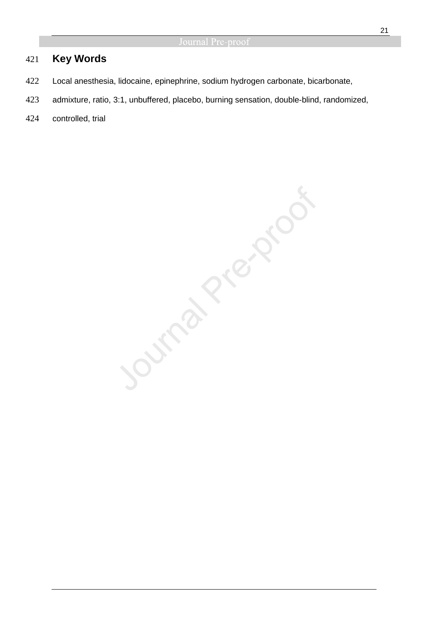# **Key Words**

- Local anesthesia, lidocaine, epinephrine, sodium hydrogen carbonate, bicarbonate,
- admixture, ratio, 3:1, unbuffered, placebo, burning sensation, double-blind, randomized,
- controlled, trial

Journal Prezence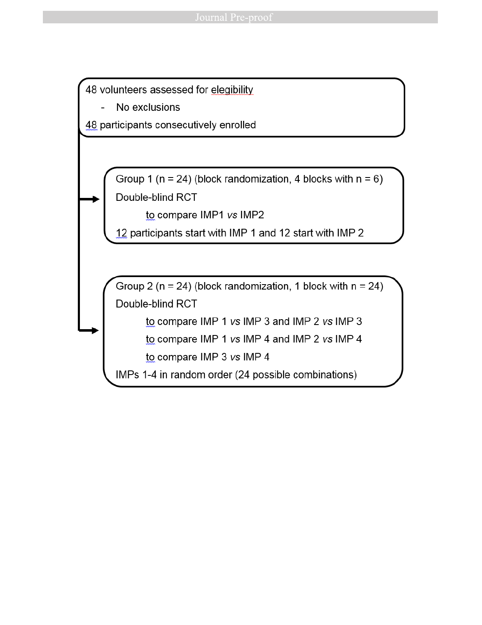48 volunteers assessed for elegibility

No exclusions  $\overline{a}$ 

48 participants consecutively enrolled

Group 1 ( $n = 24$ ) (block randomization, 4 blocks with  $n = 6$ )

Double-blind RCT

to compare IMP1 vs IMP2

12 participants start with IMP 1 and 12 start with IMP 2

Group 2 ( $n = 24$ ) (block randomization, 1 block with  $n = 24$ ) Double-blind RCT

to compare IMP 1 vs IMP 3 and IMP 2 vs IMP 3

to compare IMP 1 vs IMP 4 and IMP 2 vs IMP 4

to compare IMP 3 vs IMP 4

IMPs 1-4 in random order (24 possible combinations)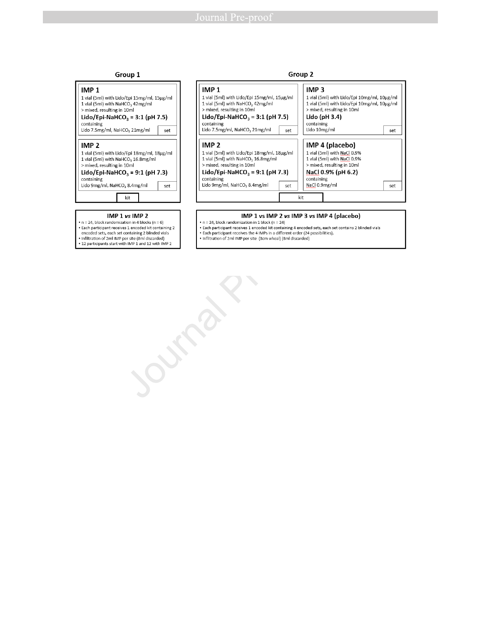

| Group 2                                      |                                             |  |  |  |
|----------------------------------------------|---------------------------------------------|--|--|--|
| MP 1                                         | IMP <sub>3</sub>                            |  |  |  |
| vial (5ml) with Lido/Epi 15mg/ml, 15µg/ml    | 1 vial (5ml) with Lido/Epi 10mg/ml, 10µg/ml |  |  |  |
| vial (5ml) with NaHCO <sub>3</sub> 42mg/ml   | 1 vial (5ml) with Lido/Epi 10mg/ml, 10μg/ml |  |  |  |
| mixed, resulting in 10ml                     | > mixed, resulting in 10ml                  |  |  |  |
| ido/Epi-NaHCO, = 3:1 (pH 7.5)                | Lido (pH 3.4)                               |  |  |  |
| ntaining                                     | containing                                  |  |  |  |
| do 7.5mg/ml, NaHCO <sub>3</sub> 21mg/ml      | Lido 10mg/ml                                |  |  |  |
| set                                          | set                                         |  |  |  |
| VIP 2                                        | IMP 4 (placebo)                             |  |  |  |
| vial (5ml) with Lido/Epi 18mg/ml, 18µg/ml    | 1 vial (5ml) with NaCl 0.9%                 |  |  |  |
| vial (5ml) with NaHCO <sub>3</sub> 16.8mg/ml | 1 vial (5ml) with NaCl 0.9%                 |  |  |  |
| mixed, resulting in 10ml                     | > mixed, resulting in 10ml                  |  |  |  |
| ido/Epi-NaHCO <sub>3</sub> = 9:1 (pH 7.3)    | NaCl 0.9% (pH 6.2)                          |  |  |  |
| ntaining                                     | containing                                  |  |  |  |
| do 9mg/ml, NaHCO <sub>3</sub> 8.4mg/ml       | NaCl 0.9mg/ml                               |  |  |  |
| set                                          | set                                         |  |  |  |
| kit                                          |                                             |  |  |  |

### IMP 1 vs IMP 2

 $n = 24$ , block randomization in 4 blocks (n = 6) Each participant receives 1 encoded kit containing 2 encoded sets, each set containing 2 blinded vials<br>
• Infiltration of 2ml IMP per site (8ml discarded)

. 12 participants start with IMP 1 and 12 with IMP 2

### IMP 1 vs IMP 2 vs IMP 3 vs IMP 4 (placebo)

n = 24, block randomization in 1 block (n = 24)<br>• Each participant receives 1 encoded kit containing 4 encoded sets, each set contains 2 blinded vials

• Each participant receives the 4 IMPs in a different order (24 possibilities).<br>• Infiltration of 2ml IMP per site (3cm wheal) (8ml discarded)

Journal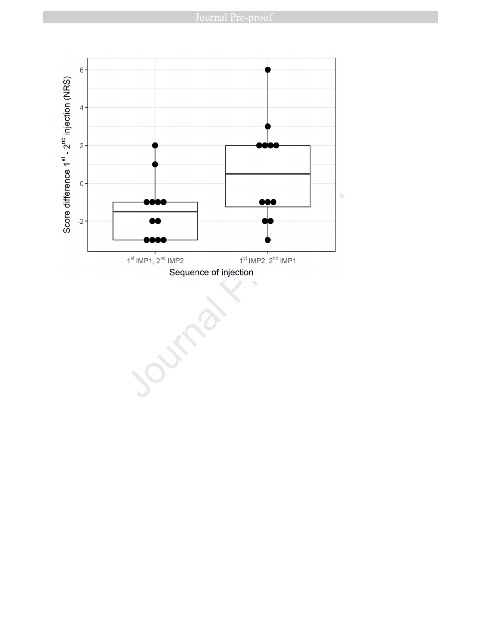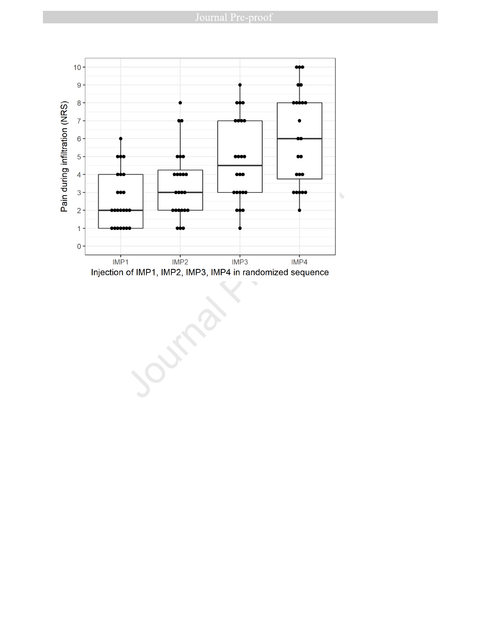

Joseph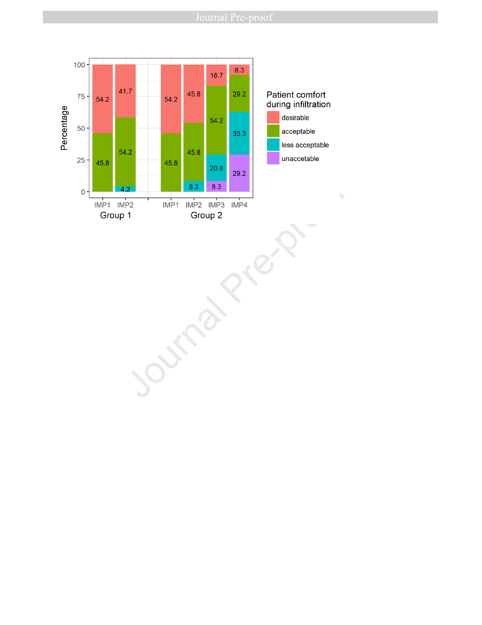